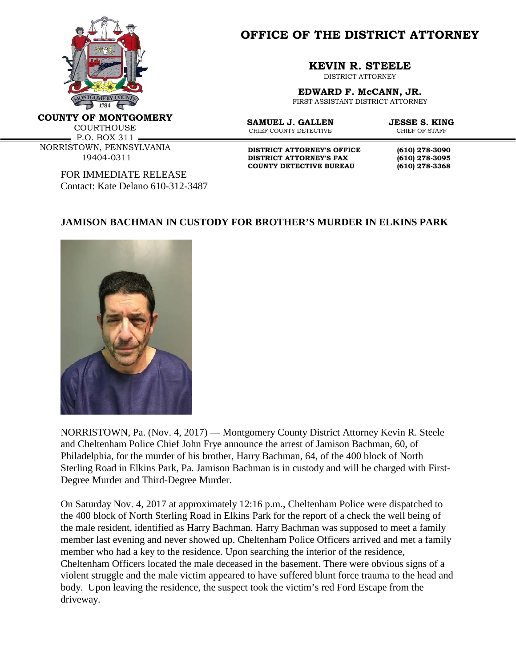

**OFFICE OF THE DISTRICT ATTORNEY**

## **KEVIN R. STEELE**

DISTRICT ATTORNEY

**EDWARD F. McCANN, JR.**

FIRST ASSISTANT DISTRICT ATTORNEY

**COUNTY OF MONTGOMERY**

**COURTHOUSE** 

P.O. BOX 311 NORRISTOWN, PENNSYLVANIA 19404-0311

> FOR IMMEDIATE RELEASE Contact: Kate Delano 610-312-3487

CHIEF COUNTY DETECTIVE

**SAMUEL J. GALLEN JESSE S. KING**<br>CHIEF COUNTY DETECTIVE **CHIEF OF STAFF** 

**DISTRICT ATTORNEY'S OFFICE (610) 278-3090 DISTRICT ATTORNEY'S FAX (610) 278-3095 COUNTY DETECTIVE BUREAU (610) 278-3368**

## **JAMISON BACHMAN IN CUSTODY FOR BROTHER'S MURDER IN ELKINS PARK**



NORRISTOWN, Pa. (Nov. 4, 2017) — Montgomery County District Attorney Kevin R. Steele and Cheltenham Police Chief John Frye announce the arrest of Jamison Bachman, 60, of Philadelphia, for the murder of his brother, Harry Bachman, 64, of the 400 block of North Sterling Road in Elkins Park, Pa. Jamison Bachman is in custody and will be charged with First-Degree Murder and Third-Degree Murder.

On Saturday Nov. 4, 2017 at approximately 12:16 p.m., Cheltenham Police were dispatched to the 400 block of North Sterling Road in Elkins Park for the report of a check the well being of the male resident, identified as Harry Bachman. Harry Bachman was supposed to meet a family member last evening and never showed up. Cheltenham Police Officers arrived and met a family member who had a key to the residence. Upon searching the interior of the residence, Cheltenham Officers located the male deceased in the basement. There were obvious signs of a violent struggle and the male victim appeared to have suffered blunt force trauma to the head and body. Upon leaving the residence, the suspect took the victim's red Ford Escape from the driveway.